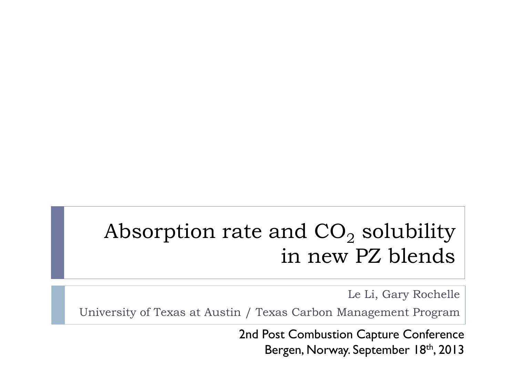#### Absorption rate and  $CO<sub>2</sub>$  solubility in new PZ blends

Le Li, Gary Rochelle

University of Texas at Austin / Texas Carbon Management Program

2nd Post Combustion Capture Conference Bergen, Norway. September 18th, 2013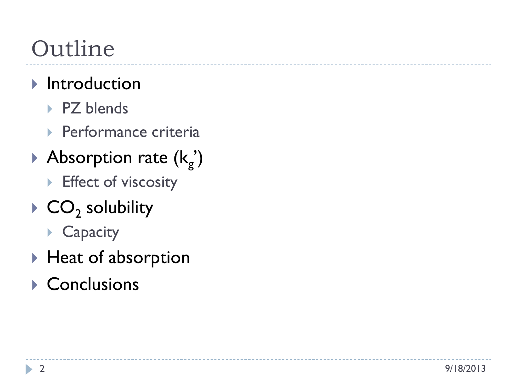# Outline

#### $\blacktriangleright$  Introduction

- ▶ PZ blends
- **Performance criteria**
- Absorption rate  $(k_g)$ 
	- **Effect of viscosity**
- $\triangleright$  CO<sub>2</sub> solubility
	- ▶ Capacity
- ▶ Heat of absorption
- Conclusions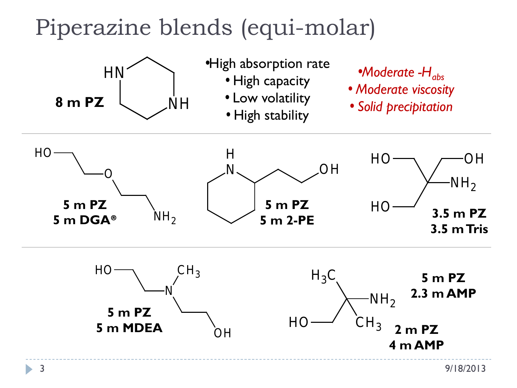## Piperazine blends (equi-molar)

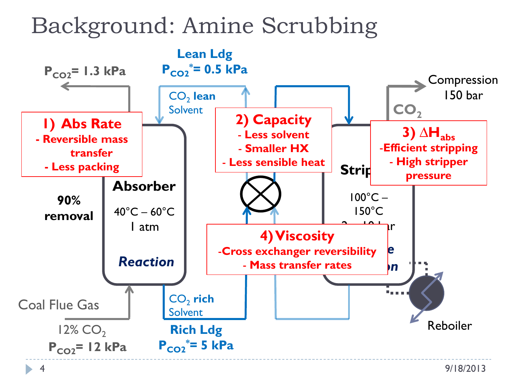### Background: Amine Scrubbing

4

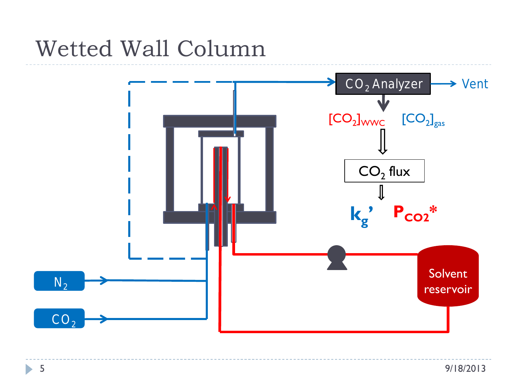

Ь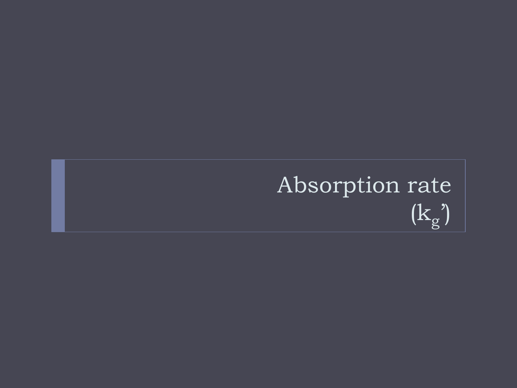# Absorption rate  $(k_g)$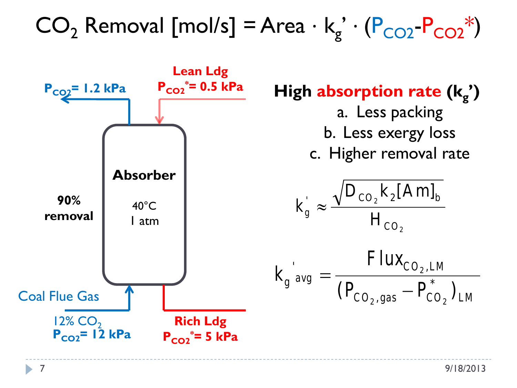$CO_2$  Removal [mol/s] = Area ⋅  $k_g'$  ⋅  $(P_{CO2}-P_{CO2}^*)$ 

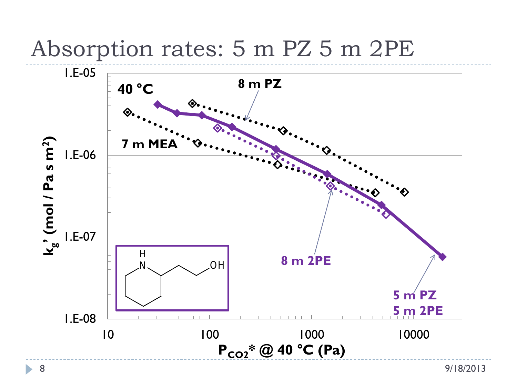

#### Absorption rates: 5 m PZ 5 m 2PE

ь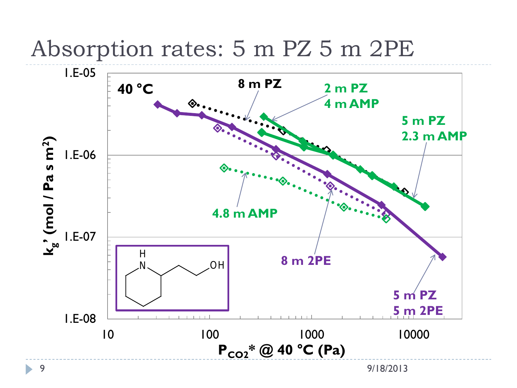

#### Absorption rates: 5 m PZ 5 m 2PE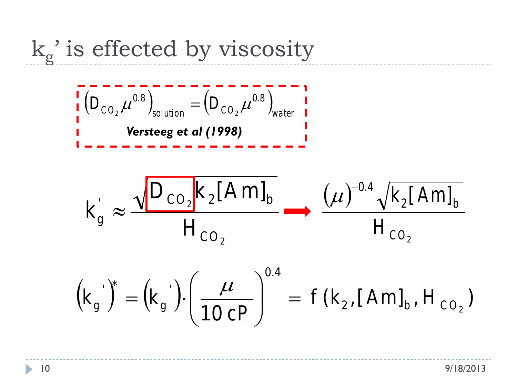$k_g$ ' is effected by viscosity

( ) ( ) *CO solution CO water D D* 0.8 0.8 <sup>2</sup> <sup>2</sup> <sup>µ</sup> = <sup>µ</sup> *Versteeg et al (1998)*

$$
k_g' \approx \frac{\sqrt{D_{\text{CO}_2}k_2[Am]_b}}{H_{\text{CO}_2}} \longrightarrow \frac{(\mu)^{-0.4}\sqrt{k_2[Am]_b}}{H_{\text{CO}_2}}
$$

$$
(k_g^{\prime})^* = (k_g^{\prime}) \cdot \left(\frac{\mu}{10 \, cP}\right)^{0.4} = f(k_2, [Am]_b, H_{CO_2})
$$

D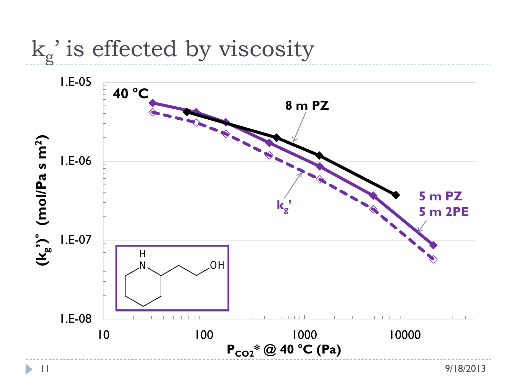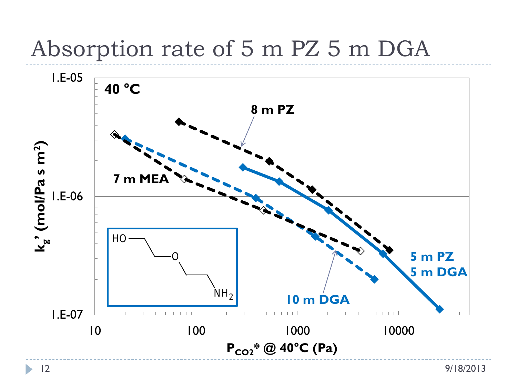### Absorption rate of 5 m PZ 5 m DGA

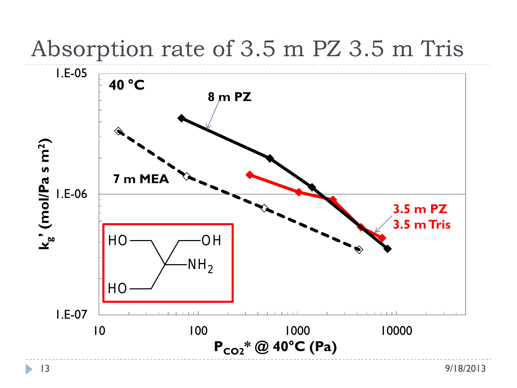### Absorption rate of 3.5 m PZ 3.5 m Tris

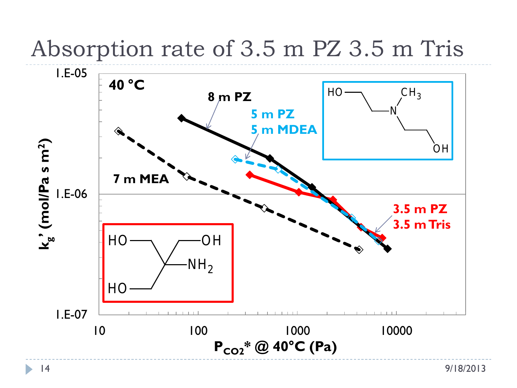### Absorption rate of 3.5 m PZ 3.5 m Tris

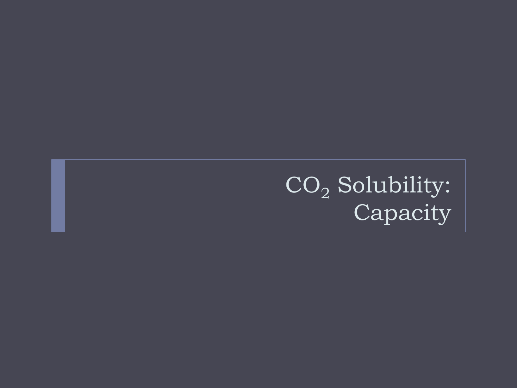$\mathrm{CO}_2$  Solubility: Capacity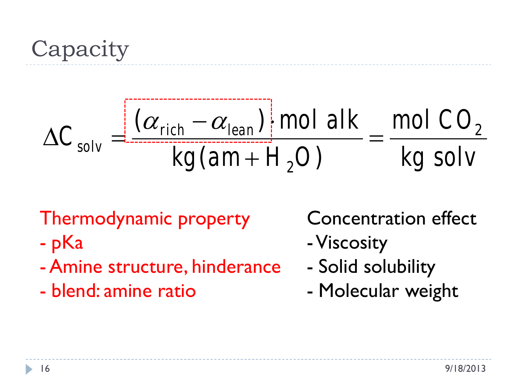Capacity

$$
\Delta C_{solv} = \frac{\left[ (\alpha_{rich} - \alpha_{lean}) \right] mol \, alk}{kg \, (am + H_2 O)} = \frac{mol \, CO_2}{kg \, solv}
$$

Thermodynamic property

- pKa
- Amine structure, hinderance
- blend: amine ratio

Concentration effect

- -Viscosity
- Solid solubility
- Molecular weight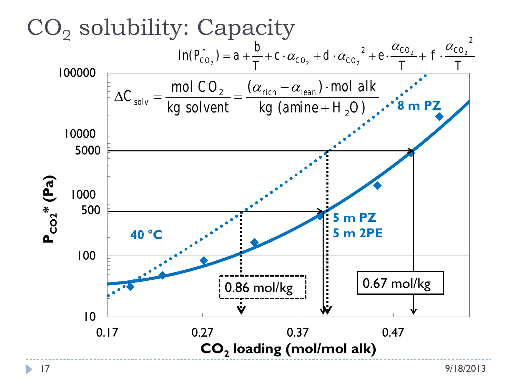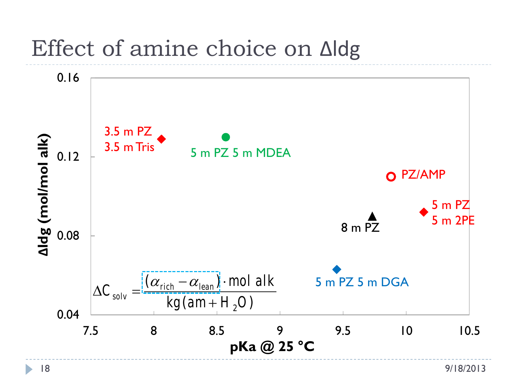#### Effect of amine choice on ∆ldg

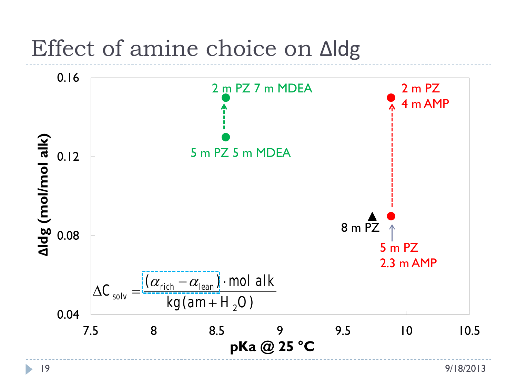### Effect of amine choice on ∆ldg

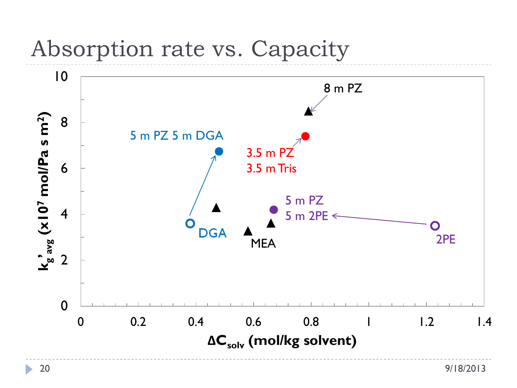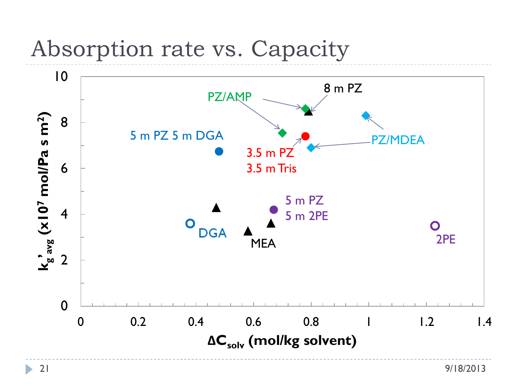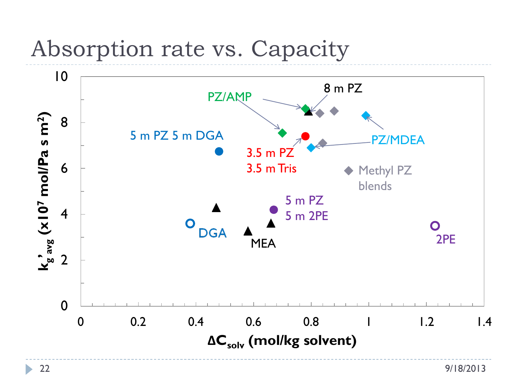

 $\blacktriangleright$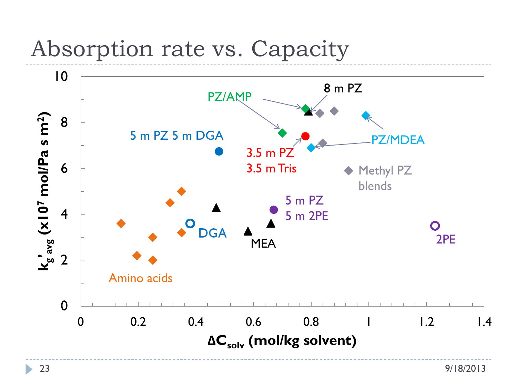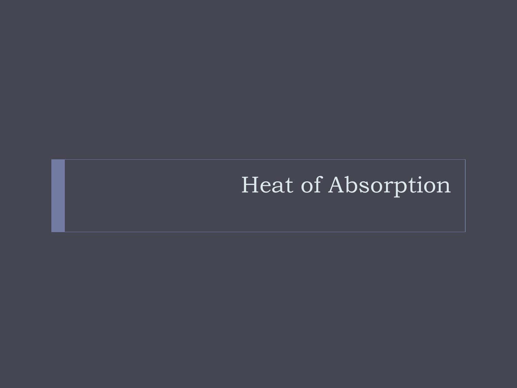### Heat of Absorption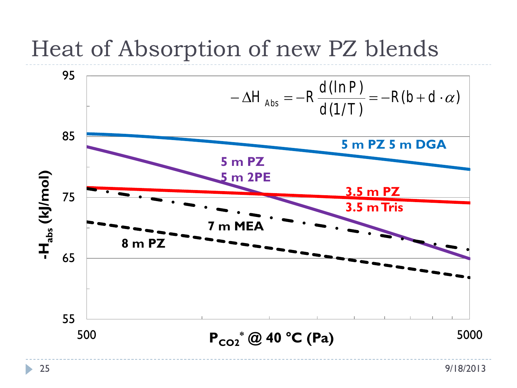### Heat of Absorption of new PZ blends



N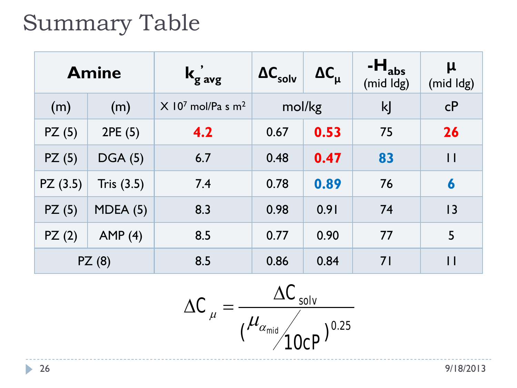## Summary Table

| <b>Amine</b> |                | $k_{\rm g}^{\prime}$ avg                    | $\Delta C_{\text{solv}}$ | $\Delta C_{\rm u}$ | $-Habs$<br>(mid Idg) | $\mu$<br>(mid Idg) |
|--------------|----------------|---------------------------------------------|--------------------------|--------------------|----------------------|--------------------|
| (m)          | (m)            | $X$ 10 <sup>7</sup> mol/Pa s m <sup>2</sup> | mol/kg                   |                    | kJ                   | cP                 |
| PZ(5)        | 2PE(5)         | 4.2                                         | 0.67                     | 0.53               | 75                   | 26                 |
| PZ(5)        | <b>DGA (5)</b> | 6.7                                         | 0.48                     | 0.47               | 83                   | $\mathsf{I}$       |
| PZ(3.5)      | Tris $(3.5)$   | 7.4                                         | 0.78                     | 0.89               | 76                   | 6                  |
| PZ(5)        | MDEA(5)        | 8.3                                         | 0.98                     | 0.91               | 74                   | 3                  |
| PZ(2)        | AMP(4)         | 8.5                                         | 0.77                     | 0.90               | 77                   | 5                  |
| PZ(8)        |                | 8.5                                         | 0.86                     | 0.84               | 71                   | $\mathsf{I}$       |

$$
\Delta C_{\mu} = \frac{\Delta C_{solv}}{\left(\frac{\mu_{\alpha_{mid}}}{10cP}\right)^{0.25}}
$$

 $\blacktriangleright$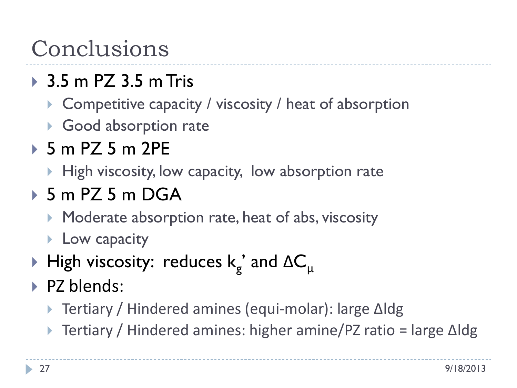## Conclusions

### 3.5 m PZ 3.5 m Tris

- ▶ Competitive capacity / viscosity / heat of absorption
- ▶ Good absorption rate

#### 5 m PZ 5 m 2PE

 $\blacktriangleright$  High viscosity, low capacity, low absorption rate

#### 5 m PZ 5 m DGA

- **Moderate absorption rate, heat of abs, viscosity**
- **Low capacity**
- $\blacktriangleright$  High viscosity: reduces k<sub>g</sub>' and ∆C<sub>u</sub>
- PZ blends:
	- Tertiary / Hindered amines (equi-molar): large ∆ldg
	- Tertiary / Hindered amines: higher amine/PZ ratio = large ∆ldg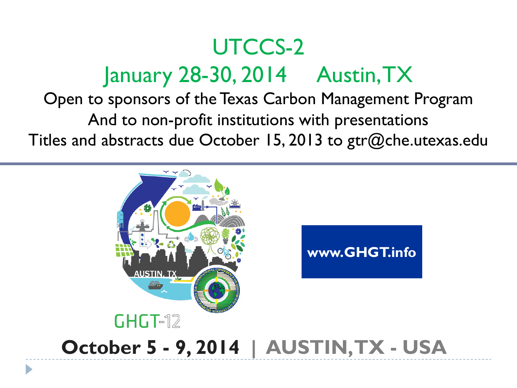# UTCCS-2 January 28-30, 2014 Austin, TX

Open to sponsors of the Texas Carbon Management Program And to non-profit institutions with presentations Titles and abstracts due October 15, 2013 to gtr@che.utexas.edu

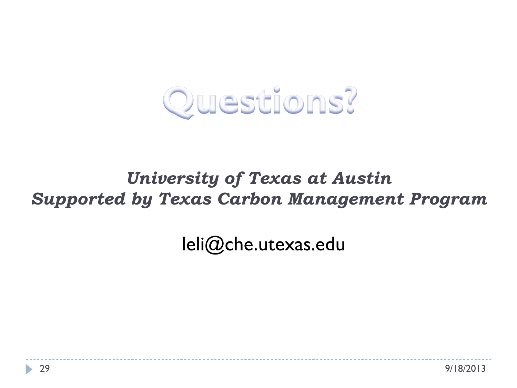

#### *University of Texas at Austin Supported by Texas Carbon Management Program*

leli@che.utexas.edu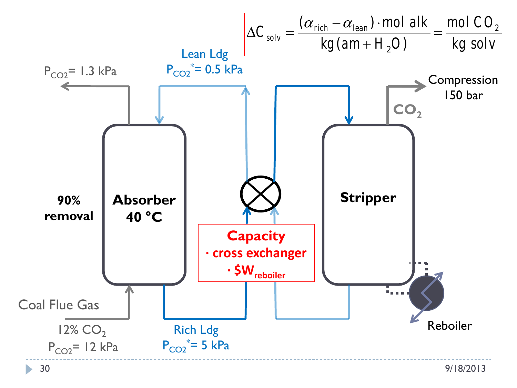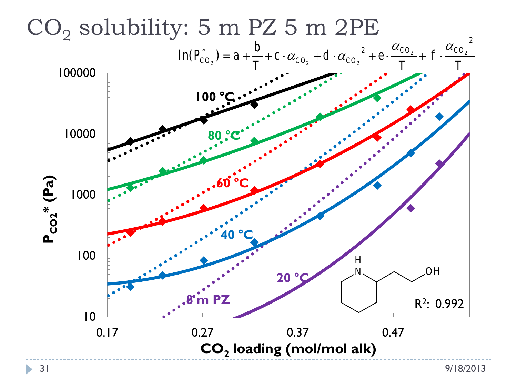

 $\blacktriangleright$